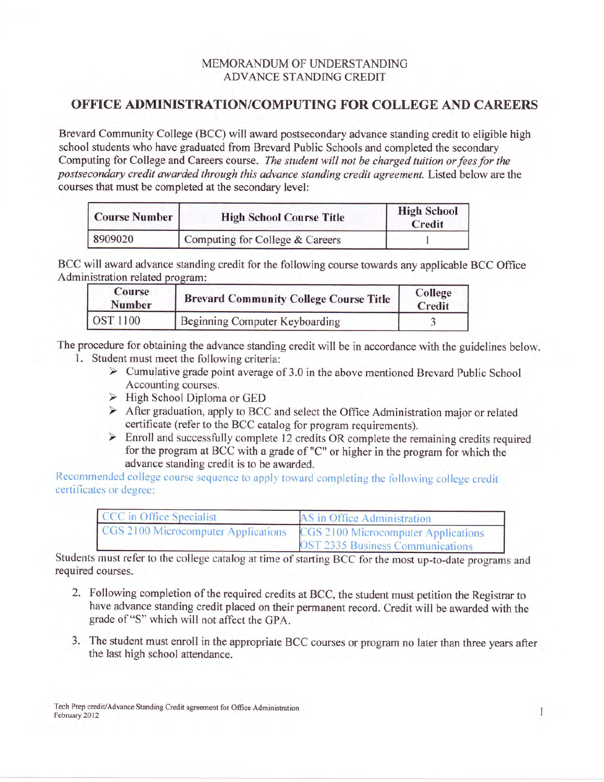## MEMORANDUM OF UNDERSTANDING ADVANCE STANDING CREDIT

## OFFICE ADMINISTRATION/COMPUTING FOR COLLEGE AND CAREERS

Brevard Community College (BCC) will award postsecondary advance standing credit to eligible high school students who have graduated from Brevard Public Schools and completed the secondary Computing for College and Careers course. The student will not be charged tuition or fees for the postsecondary credit awarded through this advance standing credit agreement. Listed below are the courses that must be completed at the secondary level:

| <b>Course Number</b> | <b>High School Course Title</b> | <b>High School</b><br>Credit |
|----------------------|---------------------------------|------------------------------|
| 8909020              | Computing for College & Careers |                              |

BCC will award advance standing credit for the following course towards any applicable BCC Office Administration related program:

| Course<br>Number | <b>Brevard Community College Course Title</b> | College<br>Credit |
|------------------|-----------------------------------------------|-------------------|
| OST 1100         | Beginning Computer Keyboarding                |                   |

The procedure for obtaining the advance standing credit will be in accordance with the guidelines below. 1. Student must meet the following criteria:<br>
> Cumulative grade point average of 3.0 in the above mentioned Brevard Public School

- Accounting courses.
- $\triangleright$  High School Diploma or GED
- > After graduation, apply to BCC and select the Office Administration major or related
- certificate (refer to the BCC catalog for program requirements).<br>
> Enroll and successfully complete 12 credits OR complete the remaining credits required for the program at BCC with a grade of "C" or higher in the program for which the advance standing credit is to be awarded.

Recommended college course sequence to apply toward completing the following college credit certificates or degree:

| CCC in Office Specialist            | AS in Office Administration         |  |
|-------------------------------------|-------------------------------------|--|
| CGS 2100 Microcomputer Applications | CGS 2100 Microcomputer Applications |  |
|                                     | OST 2335 Business Communications    |  |

Students must refer to the college catalog at time of starting BCC for the most up-to-date programs and required courses.

- 2. Following completion of the required credits at BCC, the student must petition the Registrar to have advance standing credit placed on their permanent record. Credit will be awarded with the grade of "S" which will not affect the GPA.
- 3. The student must enroll in the appropriate BCC courses or program no later than three years after the last high school attendance.